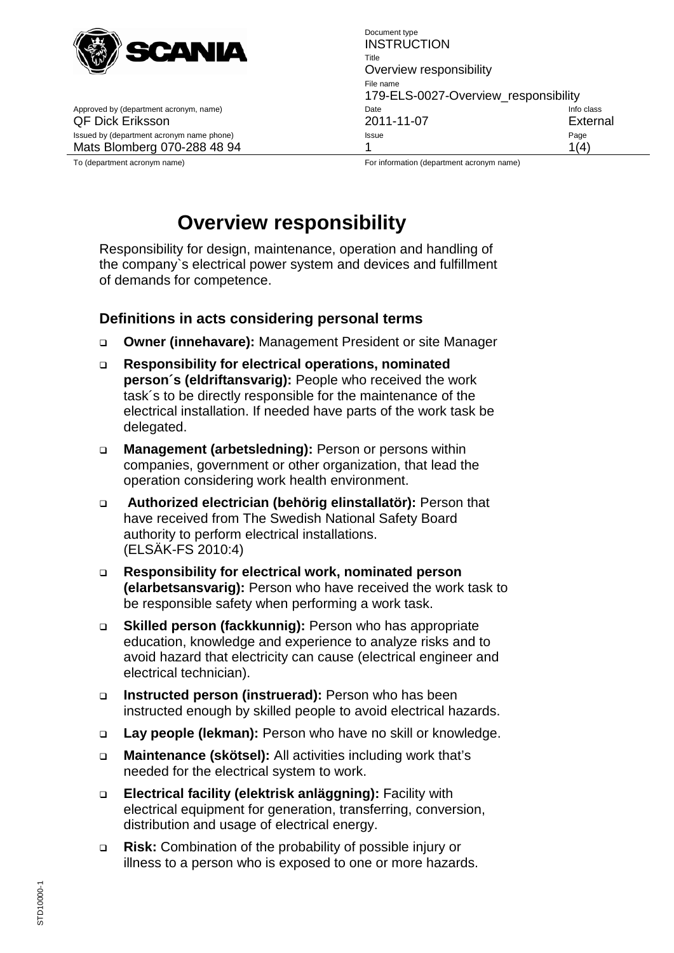

Approved by (department acronym, name) department acronomic control class Date

Document type **INSTRUCTION** Title Overview responsibility File name 179-ELS-0027-Overview\_responsibility<br>Date Info class QF Dick Eriksson 2011-11-07 External Issued by (department acronym name phone) and a state of the Issue Contract of the Page Page Page Mats Blomberg 070-288 48 94 1 1(4)

To (department acronym name) example acronym name have a strong for information (department acronym name)

## **Overview responsibility**

Responsibility for design, maintenance, operation and handling of the company`s electrical power system and devices and fulfillment of demands for competence.

### **Definitions in acts considering personal terms**

- **Owner (innehavare):** Management President or site Manager
- **Responsibility for electrical operations, nominated person´s (eldriftansvarig):** People who received the work task´s to be directly responsible for the maintenance of the electrical installation. If needed have parts of the work task be delegated.
- **Management (arbetsledning):** Person or persons within companies, government or other organization, that lead the operation considering work health environment.
- **Authorized electrician (behörig elinstallatör):** Person that have received from The Swedish National Safety Board authority to perform electrical installations. (ELSÄK-FS 2010:4)
- **Responsibility for electrical work, nominated person (elarbetsansvarig):** Person who have received the work task to be responsible safety when performing a work task.
- **Skilled person (fackkunnig):** Person who has appropriate education, knowledge and experience to analyze risks and to avoid hazard that electricity can cause (electrical engineer and electrical technician).
- **Instructed person (instruerad):** Person who has been instructed enough by skilled people to avoid electrical hazards.
- **Lay people (lekman):** Person who have no skill or knowledge.
- **Maintenance (skötsel):** All activities including work that's needed for the electrical system to work.
- **Electrical facility (elektrisk anläggning):** Facility with electrical equipment for generation, transferring, conversion, distribution and usage of electrical energy.
- **Risk:** Combination of the probability of possible injury or illness to a person who is exposed to one or more hazards.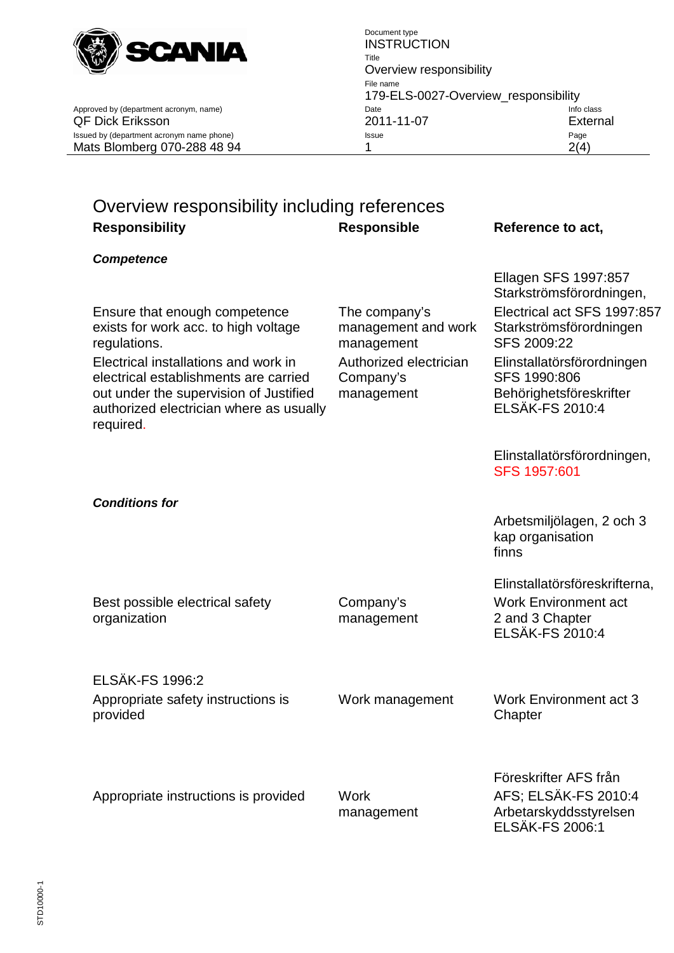

Approved by (department acronym, name) date Info contains the International Date

# Overview responsibility including references **Responsibility Responsible Reference to act,**

*Competence*

Ensure that enough competence exists for work acc. to high voltage regulations.

Electrical installations and work in electrical establishments are carried out under the supervision of Justified authorized electrician where as usually required.

The company's management and work management Authorized electrician Company's management

Ellagen SFS 1997:857 Starkströmsförordningen, Electrical act SFS 1997:857 Starkströmsförordningen SFS 2009:22 Elinstallatörsförordningen SFS 1990:806 Behörighetsföreskrifter ELSÄK-FS 2010:4

Elinstallatörsförordningen, SFS 1957:601

Arbetsmiljölagen, 2 och 3 kap organisation finns

Elinstallatörsföreskrifterna, Work Environment act 2 and 3 Chapter ELSÄK-FS 2010:4

*Conditions for*

organization

ELSÄK-FS 1996:2 Appropriate safety instructions is provided

Best possible electrical safety

Company's management

Work management Work Environment act 3 **Chapter** 

Appropriate instructions is provided Work

management

Föreskrifter AFS från AFS; ELSÄK-FS 2010:4 Arbetarskyddsstyrelsen ELSÄK-FS 2006:1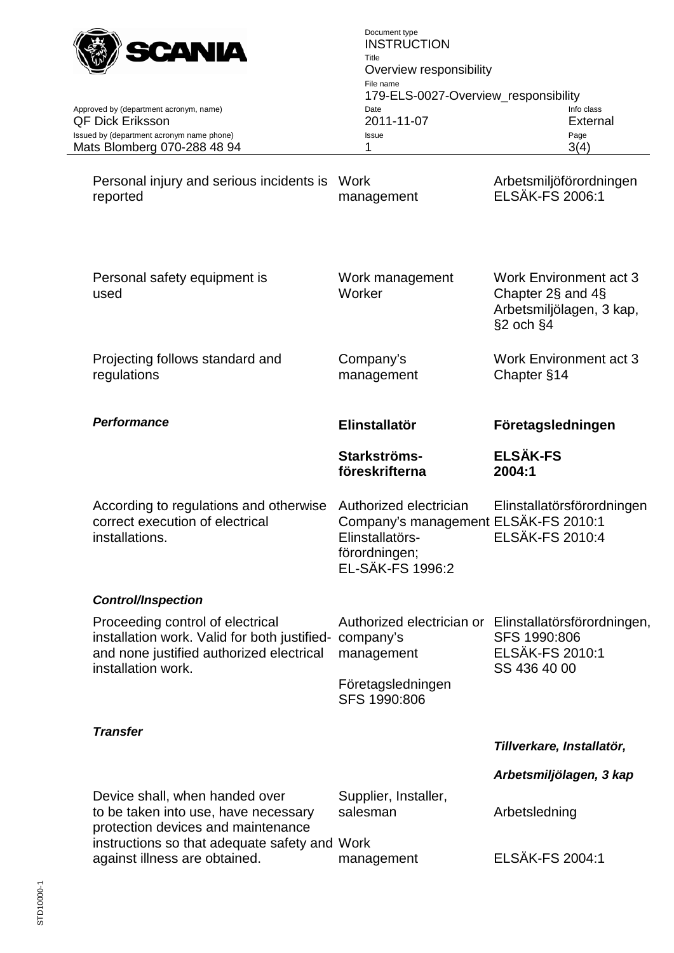

Document type **INSTRUCTION** Title Overview responsibility File name 179-ELS-0027-Overview\_responsibility<br>Date Info class QF Dick Eriksson 2011-11-07 External Issued by (department acronym name phone) and issue Issue Page Page Page Page Page Mats Blomberg 070-288 48 94 1 1 3(4)

Approved by (department acronym, name)

Personal injury and serious incidents is Work reported management Arbetsmiljöförordningen ELSÄK-FS 2006:1

| Personal safety equipment is<br>used                                                                                                                         | Work management<br>Worker                                                                                                     | <b>Work Environment act 3</b><br>Chapter 2§ and 4§<br>Arbetsmiljölagen, 3 kap,<br>§2 och §4                     |
|--------------------------------------------------------------------------------------------------------------------------------------------------------------|-------------------------------------------------------------------------------------------------------------------------------|-----------------------------------------------------------------------------------------------------------------|
| Projecting follows standard and<br>regulations                                                                                                               | Company's<br>management                                                                                                       | <b>Work Environment act 3</b><br>Chapter §14                                                                    |
| <b>Performance</b>                                                                                                                                           | Elinstallatör                                                                                                                 | Företagsledningen                                                                                               |
|                                                                                                                                                              | Starkströms-<br>föreskrifterna                                                                                                | <b>ELSÄK-FS</b><br>2004:1                                                                                       |
| According to regulations and otherwise<br>correct execution of electrical<br>installations.                                                                  | Authorized electrician<br>Company's management ELSÄK-FS 2010:1<br>Elinstallatörs-<br>förordningen;<br><b>EL-SÄK-FS 1996:2</b> | Elinstallatörsförordningen<br><b>ELSÄK-FS 2010:4</b>                                                            |
| <b>Control/Inspection</b>                                                                                                                                    |                                                                                                                               |                                                                                                                 |
| Proceeding control of electrical<br>installation work. Valid for both justified- company's<br>and none justified authorized electrical<br>installation work. | management                                                                                                                    | Authorized electrician or Elinstallatörsförordningen,<br>SFS 1990:806<br><b>ELSÄK-FS 2010:1</b><br>SS 436 40 00 |
|                                                                                                                                                              | Företagsledningen<br>SFS 1990:806                                                                                             |                                                                                                                 |
| <b>Transfer</b>                                                                                                                                              |                                                                                                                               |                                                                                                                 |
|                                                                                                                                                              |                                                                                                                               | Tillverkare, Installatör,                                                                                       |
|                                                                                                                                                              |                                                                                                                               | Arbetsmiljölagen, 3 kap                                                                                         |
| Device shall, when handed over<br>to be taken into use, have necessary<br>وساعدته ومراكبون والمتواد ومالي ورمائهم وللمر                                      | Supplier, Installer,<br>salesman                                                                                              | Arbetsledning                                                                                                   |

protection devices and maintenance instructions so that adequate safety and Work against illness are obtained. management ELSÄK-FS 2004:1